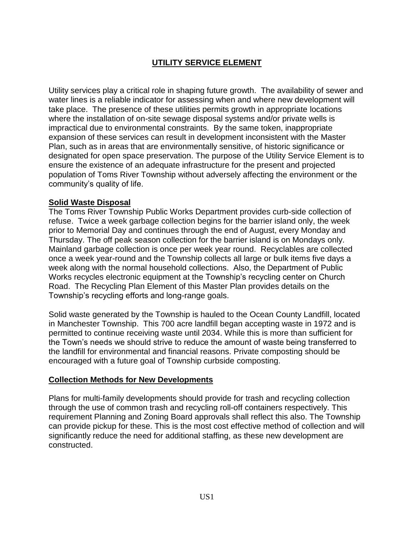# **UTILITY SERVICE ELEMENT**

Utility services play a critical role in shaping future growth. The availability of sewer and water lines is a reliable indicator for assessing when and where new development will take place. The presence of these utilities permits growth in appropriate locations where the installation of on-site sewage disposal systems and/or private wells is impractical due to environmental constraints. By the same token, inappropriate expansion of these services can result in development inconsistent with the Master Plan, such as in areas that are environmentally sensitive, of historic significance or designated for open space preservation. The purpose of the Utility Service Element is to ensure the existence of an adequate infrastructure for the present and projected population of Toms River Township without adversely affecting the environment or the community's quality of life.

### **Solid Waste Disposal**

The Toms River Township Public Works Department provides curb-side collection of refuse. Twice a week garbage collection begins for the barrier island only, the week prior to Memorial Day and continues through the end of August, every Monday and Thursday. The off peak season collection for the barrier island is on Mondays only. Mainland garbage collection is once per week year round. Recyclables are collected once a week year-round and the Township collects all large or bulk items five days a week along with the normal household collections. Also, the Department of Public Works recycles electronic equipment at the Township's recycling center on Church Road. The Recycling Plan Element of this Master Plan provides details on the Township's recycling efforts and long-range goals.

Solid waste generated by the Township is hauled to the Ocean County Landfill, located in Manchester Township. This 700 acre landfill began accepting waste in 1972 and is permitted to continue receiving waste until 2034. While this is more than sufficient for the Town's needs we should strive to reduce the amount of waste being transferred to the landfill for environmental and financial reasons. Private composting should be encouraged with a future goal of Township curbside composting.

#### **Collection Methods for New Developments**

Plans for multi-family developments should provide for trash and recycling collection through the use of common trash and recycling roll-off containers respectively. This requirement Planning and Zoning Board approvals shall reflect this also. The Township can provide pickup for these. This is the most cost effective method of collection and will significantly reduce the need for additional staffing, as these new development are constructed.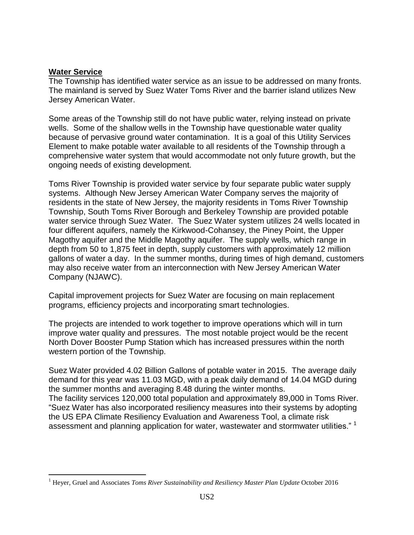#### **Water Service**

 $\overline{a}$ 

The Township has identified water service as an issue to be addressed on many fronts. The mainland is served by Suez Water Toms River and the barrier island utilizes New Jersey American Water.

Some areas of the Township still do not have public water, relying instead on private wells. Some of the shallow wells in the Township have questionable water quality because of pervasive ground water contamination. It is a goal of this Utility Services Element to make potable water available to all residents of the Township through a comprehensive water system that would accommodate not only future growth, but the ongoing needs of existing development.

Toms River Township is provided water service by four separate public water supply systems. Although New Jersey American Water Company serves the majority of residents in the state of New Jersey, the majority residents in Toms River Township Township, South Toms River Borough and Berkeley Township are provided potable water service through Suez Water. The Suez Water system utilizes 24 wells located in four different aquifers, namely the Kirkwood-Cohansey, the Piney Point, the Upper Magothy aquifer and the Middle Magothy aquifer. The supply wells, which range in depth from 50 to 1,875 feet in depth, supply customers with approximately 12 million gallons of water a day. In the summer months, during times of high demand, customers may also receive water from an interconnection with New Jersey American Water Company (NJAWC).

Capital improvement projects for Suez Water are focusing on main replacement programs, efficiency projects and incorporating smart technologies.

The projects are intended to work together to improve operations which will in turn improve water quality and pressures. The most notable project would be the recent North Dover Booster Pump Station which has increased pressures within the north western portion of the Township.

Suez Water provided 4.02 Billion Gallons of potable water in 2015. The average daily demand for this year was 11.03 MGD, with a peak daily demand of 14.04 MGD during the summer months and averaging 8.48 during the winter months. The facility services 120,000 total population and approximately 89,000 in Toms River. "Suez Water has also incorporated resiliency measures into their systems by adopting the US EPA Climate Resiliency Evaluation and Awareness Tool, a climate risk assessment and planning application for water, wastewater and stormwater utilities."<sup>1</sup>

<sup>1</sup> Heyer, Gruel and Associates *Toms River Sustainability and Resiliency Master Plan Update* October 2016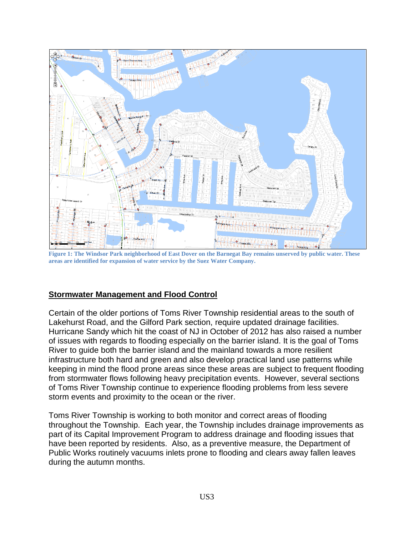

**Figure 1: The Windsor Park neighborhood of East Dover on the Barnegat Bay remains unserved by public water. These areas are identified for expansion of water service by the Suez Water Company.**

#### **Stormwater Management and Flood Control**

Certain of the older portions of Toms River Township residential areas to the south of Lakehurst Road, and the Gilford Park section, require updated drainage facilities. Hurricane Sandy which hit the coast of NJ in October of 2012 has also raised a number of issues with regards to flooding especially on the barrier island. It is the goal of Toms River to guide both the barrier island and the mainland towards a more resilient infrastructure both hard and green and also develop practical land use patterns while keeping in mind the flood prone areas since these areas are subject to frequent flooding from stormwater flows following heavy precipitation events. However, several sections of Toms River Township continue to experience flooding problems from less severe storm events and proximity to the ocean or the river.

Toms River Township is working to both monitor and correct areas of flooding throughout the Township. Each year, the Township includes drainage improvements as part of its Capital Improvement Program to address drainage and flooding issues that have been reported by residents. Also, as a preventive measure, the Department of Public Works routinely vacuums inlets prone to flooding and clears away fallen leaves during the autumn months.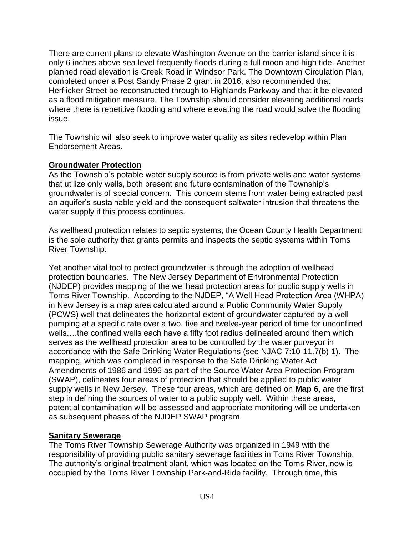There are current plans to elevate Washington Avenue on the barrier island since it is only 6 inches above sea level frequently floods during a full moon and high tide. Another planned road elevation is Creek Road in Windsor Park. The Downtown Circulation Plan, completed under a Post Sandy Phase 2 grant in 2016, also recommended that Herflicker Street be reconstructed through to Highlands Parkway and that it be elevated as a flood mitigation measure. The Township should consider elevating additional roads where there is repetitive flooding and where elevating the road would solve the flooding issue.

The Township will also seek to improve water quality as sites redevelop within Plan Endorsement Areas.

### **Groundwater Protection**

As the Township's potable water supply source is from private wells and water systems that utilize only wells, both present and future contamination of the Township's groundwater is of special concern. This concern stems from water being extracted past an aquifer's sustainable yield and the consequent saltwater intrusion that threatens the water supply if this process continues.

As wellhead protection relates to septic systems, the Ocean County Health Department is the sole authority that grants permits and inspects the septic systems within Toms River Township.

Yet another vital tool to protect groundwater is through the adoption of wellhead protection boundaries. The New Jersey Department of Environmental Protection (NJDEP) provides mapping of the wellhead protection areas for public supply wells in Toms River Township. According to the NJDEP, "A Well Head Protection Area (WHPA) in New Jersey is a map area calculated around a Public Community Water Supply (PCWS) well that delineates the horizontal extent of groundwater captured by a well pumping at a specific rate over a two, five and twelve-year period of time for unconfined wells….the confined wells each have a fifty foot radius delineated around them which serves as the wellhead protection area to be controlled by the water purveyor in accordance with the Safe Drinking Water Regulations (see NJAC 7:10-11.7(b) 1). The mapping, which was completed in response to the Safe Drinking Water Act Amendments of 1986 and 1996 as part of the Source Water Area Protection Program (SWAP), delineates four areas of protection that should be applied to public water supply wells in New Jersey. These four areas, which are defined on **Map 6**, are the first step in defining the sources of water to a public supply well. Within these areas, potential contamination will be assessed and appropriate monitoring will be undertaken as subsequent phases of the NJDEP SWAP program.

### **Sanitary Sewerage**

The Toms River Township Sewerage Authority was organized in 1949 with the responsibility of providing public sanitary sewerage facilities in Toms River Township. The authority's original treatment plant, which was located on the Toms River, now is occupied by the Toms River Township Park-and-Ride facility. Through time, this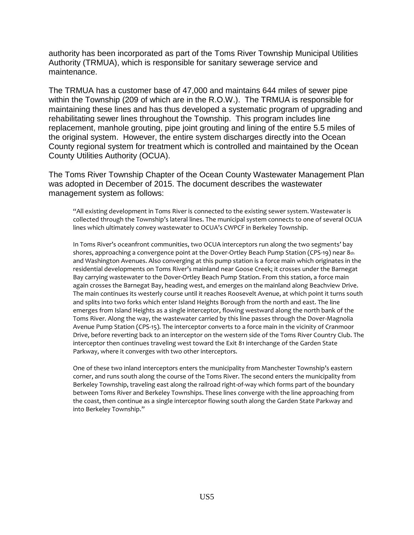authority has been incorporated as part of the Toms River Township Municipal Utilities Authority (TRMUA), which is responsible for sanitary sewerage service and maintenance.

The TRMUA has a customer base of 47,000 and maintains 644 miles of sewer pipe within the Township (209 of which are in the R.O.W.). The TRMUA is responsible for maintaining these lines and has thus developed a systematic program of upgrading and rehabilitating sewer lines throughout the Township. This program includes line replacement, manhole grouting, pipe joint grouting and lining of the entire 5.5 miles of the original system. However, the entire system discharges directly into the Ocean County regional system for treatment which is controlled and maintained by the Ocean County Utilities Authority (OCUA).

The Toms River Township Chapter of the Ocean County Wastewater Management Plan was adopted in December of 2015. The document describes the wastewater management system as follows:

"All existing development in Toms River is connected to the existing sewer system. Wastewater is collected through the Township's lateral lines. The municipal system connects to one of several OCUA lines which ultimately convey wastewater to OCUA's CWPCF in Berkeley Township.

In Toms River's oceanfront communities, two OCUA interceptors run along the two segments' bay shores, approaching a convergence point at the Dover-Ortley Beach Pump Station (CPS-19) near 8th and Washington Avenues. Also converging at this pump station is a force main which originates in the residential developments on Toms River's mainland near Goose Creek; it crosses under the Barnegat Bay carrying wastewater to the Dover-Ortley Beach Pump Station. From this station, a force main again crosses the Barnegat Bay, heading west, and emerges on the mainland along Beachview Drive. The main continues its westerly course until it reaches Roosevelt Avenue, at which point it turns south and splits into two forks which enter Island Heights Borough from the north and east. The line emerges from Island Heights as a single interceptor, flowing westward along the north bank of the Toms River. Along the way, the wastewater carried by this line passes through the Dover-Magnolia Avenue Pump Station (CPS-15). The interceptor converts to a force main in the vicinity of Cranmoor Drive, before reverting back to an interceptor on the western side of the Toms River Country Club. The interceptor then continues traveling west toward the Exit 81 interchange of the Garden State Parkway, where it converges with two other interceptors.

One of these two inland interceptors enters the municipality from Manchester Township's eastern corner, and runs south along the course of the Toms River. The second enters the municipality from Berkeley Township, traveling east along the railroad right-of-way which forms part of the boundary between Toms River and Berkeley Townships. These lines converge with the line approaching from the coast, then continue as a single interceptor flowing south along the Garden State Parkway and into Berkeley Township."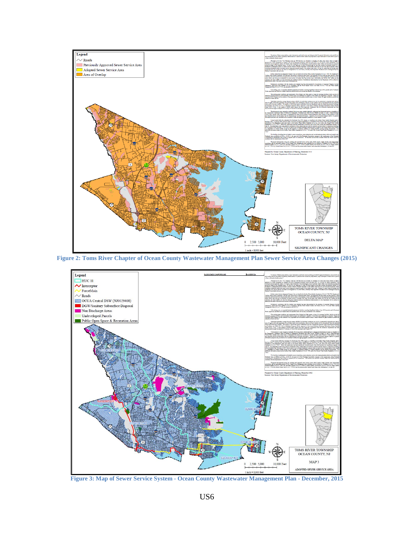

**Figure 2: Toms River Chapter of Ocean County Wastewater Management Plan Sewer Service Area Changes (2015)**



**Figure 3: Map of Sewer Service System - Ocean County Wastewater Management Plan - December, 2015**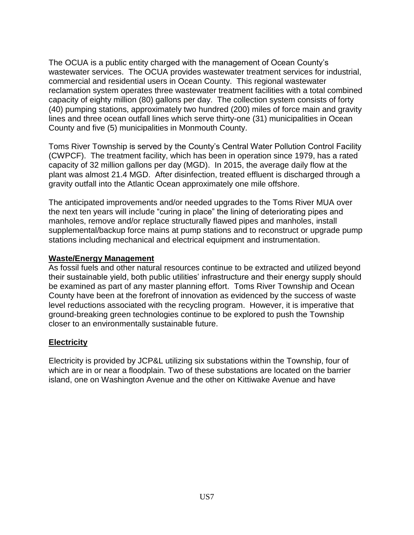The OCUA is a public entity charged with the management of Ocean County's wastewater services. The OCUA provides wastewater treatment services for industrial, commercial and residential users in Ocean County. This regional wastewater reclamation system operates three wastewater treatment facilities with a total combined capacity of eighty million (80) gallons per day. The collection system consists of forty (40) pumping stations, approximately two hundred (200) miles of force main and gravity lines and three ocean outfall lines which serve thirty-one (31) municipalities in Ocean County and five (5) municipalities in Monmouth County.

Toms River Township is served by the County's Central Water Pollution Control Facility (CWPCF). The treatment facility, which has been in operation since 1979, has a rated capacity of 32 million gallons per day (MGD). In 2015, the average daily flow at the plant was almost 21.4 MGD. After disinfection, treated effluent is discharged through a gravity outfall into the Atlantic Ocean approximately one mile offshore.

The anticipated improvements and/or needed upgrades to the Toms River MUA over the next ten years will include "curing in place" the lining of deteriorating pipes and manholes, remove and/or replace structurally flawed pipes and manholes, install supplemental/backup force mains at pump stations and to reconstruct or upgrade pump stations including mechanical and electrical equipment and instrumentation.

#### **Waste/Energy Management**

As fossil fuels and other natural resources continue to be extracted and utilized beyond their sustainable yield, both public utilities' infrastructure and their energy supply should be examined as part of any master planning effort. Toms River Township and Ocean County have been at the forefront of innovation as evidenced by the success of waste level reductions associated with the recycling program. However, it is imperative that ground-breaking green technologies continue to be explored to push the Township closer to an environmentally sustainable future.

### **Electricity**

Electricity is provided by JCP&L utilizing six substations within the Township, four of which are in or near a floodplain. Two of these substations are located on the barrier island, one on Washington Avenue and the other on Kittiwake Avenue and have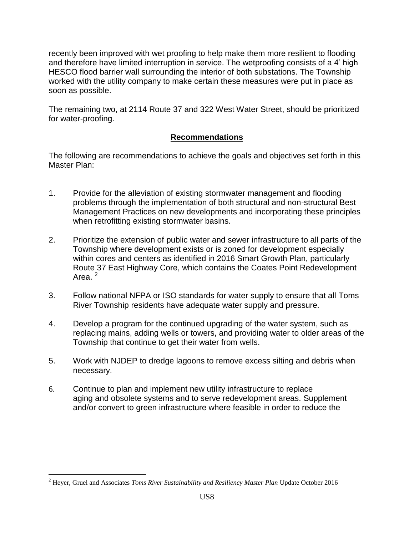recently been improved with wet proofing to help make them more resilient to flooding and therefore have limited interruption in service. The wetproofing consists of a 4' high HESCO flood barrier wall surrounding the interior of both substations. The Township worked with the utility company to make certain these measures were put in place as soon as possible.

The remaining two, at 2114 Route 37 and 322 West Water Street, should be prioritized for water-proofing.

## **Recommendations**

The following are recommendations to achieve the goals and objectives set forth in this Master Plan:

- 1. Provide for the alleviation of existing stormwater management and flooding problems through the implementation of both structural and non-structural Best Management Practices on new developments and incorporating these principles when retrofitting existing stormwater basins.
- 2. Prioritize the extension of public water and sewer infrastructure to all parts of the Township where development exists or is zoned for development especially within cores and centers as identified in 2016 Smart Growth Plan, particularly Route 37 East Highway Core, which contains the Coates Point Redevelopment Area $^2$
- 3. Follow national NFPA or ISO standards for water supply to ensure that all Toms River Township residents have adequate water supply and pressure.
- 4. Develop a program for the continued upgrading of the water system, such as replacing mains, adding wells or towers, and providing water to older areas of the Township that continue to get their water from wells.
- 5. Work with NJDEP to dredge lagoons to remove excess silting and debris when necessary.
- 6. Continue to plan and implement new utility infrastructure to replace aging and obsolete systems and to serve redevelopment areas. Supplement and/or convert to green infrastructure where feasible in order to reduce the

 $\overline{a}$ 

<sup>2</sup> Heyer, Gruel and Associates *Toms River Sustainability and Resiliency Master Plan* Update October 2016